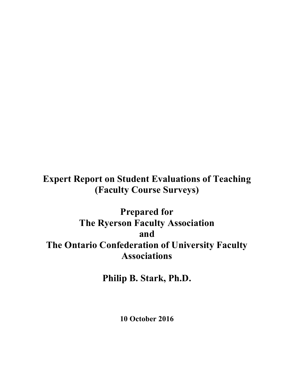**Expert Report on Student Evaluations of Teaching (Faculty Course Surveys)**

**Prepared for The Ryerson Faculty Association and The Ontario Confederation of University Faculty Associations**

**Philip B. Stark, Ph.D.**

**10 October 2016**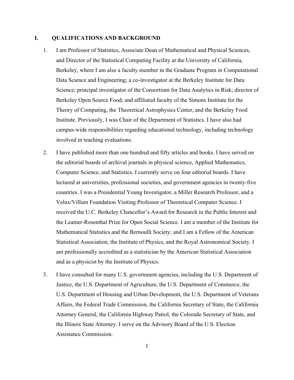## **I. QUALIFICATIONS AND BACKGROUND**

- 1. I am Professor of Statistics, Associate Dean of Mathematical and Physical Sciences, and Director of the Statistical Computing Facility at the University of California, Berkeley, where I am also a faculty member in the Graduate Program in Computational Data Science and Engineering; a co-investigator at the Berkeley Institute for Data Science; principal investigator of the Consortium for Data Analytics in Risk; director of Berkeley Open Source Food; and affiliated faculty of the Simons Institute for the Theory of Computing, the Theoretical Astrophysics Center, and the Berkeley Food Institute. Previously, I was Chair of the Department of Statistics. I have also had campus-wide responsibilities regarding educational technology, including technology involved in teaching evaluations.
- 2. I have published more than one hundred and fifty articles and books. I have served on the editorial boards of archival journals in physical science, Applied Mathematics, Computer Science, and Statistics. I currently serve on four editorial boards. I have lectured at universities, professional societies, and government agencies in twenty-five countries. I was a Presidential Young Investigator, a Miller Research Professor, and a Velux/Villum Foundation Visiting Professor of Theoretical Computer Science. I received the U.C. Berkeley Chancellor's Award for Research in the Public Interest and the Leamer-Rosenthal Prize for Open Social Science. I am a member of the Institute for Mathematical Statistics and the Bernoulli Society; and I am a Fellow of the American Statistical Association, the Institute of Physics, and the Royal Astronomical Society. I am professionally accredited as a statistician by the American Statistical Association and as a physicist by the Institute of Physics.
- 3. I have consulted for many U.S. government agencies, including the U.S. Department of Justice, the U.S. Department of Agriculture, the U.S. Department of Commerce, the U.S. Department of Housing and Urban Development, the U.S. Department of Veterans Affairs, the Federal Trade Commission, the California Secretary of State, the California Attorney General, the California Highway Patrol, the Colorado Secretary of State, and the Illinois State Attorney. I serve on the Advisory Board of the U.S. Election Assistance Commission.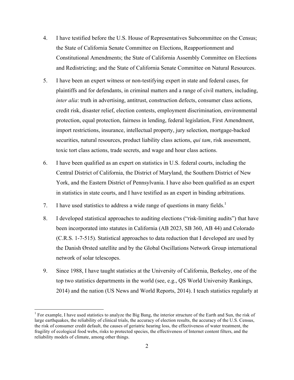- 4. I have testified before the U.S. House of Representatives Subcommittee on the Census; the State of California Senate Committee on Elections, Reapportionment and Constitutional Amendments; the State of California Assembly Committee on Elections and Redistricting; and the State of California Senate Committee on Natural Resources.
- 5. I have been an expert witness or non-testifying expert in state and federal cases, for plaintiffs and for defendants, in criminal matters and a range of civil matters, including, *inter alia*: truth in advertising, antitrust, construction defects, consumer class actions, credit risk, disaster relief, election contests, employment discrimination, environmental protection, equal protection, fairness in lending, federal legislation, First Amendment, import restrictions, insurance, intellectual property, jury selection, mortgage-backed securities, natural resources, product liability class actions, *qui tam*, risk assessment, toxic tort class actions, trade secrets, and wage and hour class actions.
- 6. I have been qualified as an expert on statistics in U.S. federal courts, including the Central District of California, the District of Maryland, the Southern District of New York, and the Eastern District of Pennsylvania. I have also been qualified as an expert in statistics in state courts, and I have testified as an expert in binding arbitrations.
- 7. I have used statistics to address a wide range of questions in many fields.<sup>1</sup>
- 8. I developed statistical approaches to auditing elections ("risk-limiting audits") that have been incorporated into statutes in California (AB 2023, SB 360, AB 44) and Colorado (C.R.S. 1-7-515). Statistical approaches to data reduction that I developed are used by the Danish Ørsted satellite and by the Global Oscillations Network Group international network of solar telescopes.
- 9. Since 1988, I have taught statistics at the University of California, Berkeley, one of the top two statistics departments in the world (see, e.g., QS World University Rankings, 2014) and the nation (US News and World Reports, 2014). I teach statistics regularly at

<sup>&</sup>lt;sup>1</sup> For example, I have used statistics to analyze the Big Bang, the interior structure of the Earth and Sun, the risk of large earthquakes, the reliability of clinical trials, the accuracy of election results, the accuracy of the U.S. Census, the risk of consumer credit default, the causes of geriatric hearing loss, the effectiveness of water treatment, the fragility of ecological food webs, risks to protected species, the effectiveness of Internet content filters, and the reliability models of climate, among other things.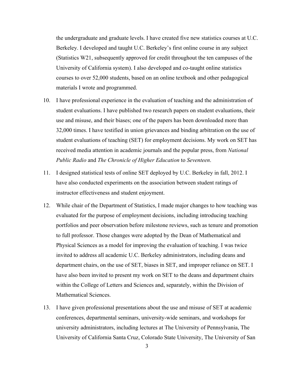the undergraduate and graduate levels. I have created five new statistics courses at U.C. Berkeley. I developed and taught U.C. Berkeley's first online course in any subject (Statistics W21, subsequently approved for credit throughout the ten campuses of the University of California system). I also developed and co-taught online statistics courses to over 52,000 students, based on an online textbook and other pedagogical materials I wrote and programmed.

- 10. I have professional experience in the evaluation of teaching and the administration of student evaluations. I have published two research papers on student evaluations, their use and misuse, and their biases; one of the papers has been downloaded more than 32,000 times. I have testified in union grievances and binding arbitration on the use of student evaluations of teaching (SET) for employment decisions. My work on SET has received media attention in academic journals and the popular press, from *National Public Radio* and *The Chronicle of Higher Education* to *Seventeen*.
- 11. I designed statistical tests of online SET deployed by U.C. Berkeley in fall, 2012. I have also conducted experiments on the association between student ratings of instructor effectiveness and student enjoyment.
- 12. While chair of the Department of Statistics, I made major changes to how teaching was evaluated for the purpose of employment decisions, including introducing teaching portfolios and peer observation before milestone reviews, such as tenure and promotion to full professor. Those changes were adopted by the Dean of Mathematical and Physical Sciences as a model for improving the evaluation of teaching. I was twice invited to address all academic U.C. Berkeley administrators, including deans and department chairs, on the use of SET, biases in SET, and improper reliance on SET. I have also been invited to present my work on SET to the deans and department chairs within the College of Letters and Sciences and, separately, within the Division of Mathematical Sciences.
- 13. I have given professional presentations about the use and misuse of SET at academic conferences, departmental seminars, university-wide seminars, and workshops for university administrators, including lectures at The University of Pennsylvania, The University of California Santa Cruz, Colorado State University, The University of San

3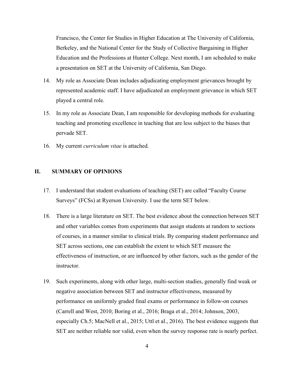Francisco, the Center for Studies in Higher Education at The University of California, Berkeley, and the National Center for the Study of Collective Bargaining in Higher Education and the Professions at Hunter College. Next month, I am scheduled to make a presentation on SET at the University of California, San Diego.

- 14. My role as Associate Dean includes adjudicating employment grievances brought by represented academic staff. I have adjudicated an employment grievance in which SET played a central role.
- 15. In my role as Associate Dean, I am responsible for developing methods for evaluating teaching and promoting excellence in teaching that are less subject to the biases that pervade SET.
- 16. My current *curriculum vitae* is attached.

## **II. SUMMARY OF OPINIONS**

- 17. I understand that student evaluations of teaching (SET) are called "Faculty Course Surveys" (FCSs) at Ryerson University. I use the term SET below.
- 18. There is a large literature on SET. The best evidence about the connection between SET and other variables comes from experiments that assign students at random to sections of courses, in a manner similar to clinical trials. By comparing student performance and SET across sections, one can establish the extent to which SET measure the effectiveness of instruction, or are influenced by other factors, such as the gender of the instructor.
- 19. Such experiments, along with other large, multi-section studies, generally find weak or negative association between SET and instructor effectiveness, measured by performance on uniformly graded final exams or performance in follow-on courses (Carrell and West, 2010; Boring et al., 2016; Braga et al., 2014; Johnson, 2003, especially Ch.5; MacNell et al., 2015; Uttl et al., 2016). The best evidence suggests that SET are neither reliable nor valid, even when the survey response rate is nearly perfect.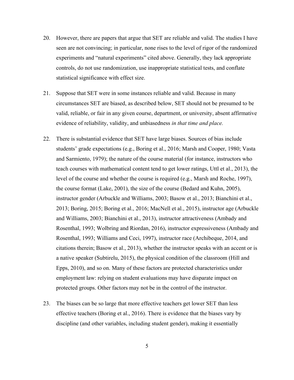- 20. However, there are papers that argue that SET are reliable and valid. The studies I have seen are not convincing; in particular, none rises to the level of rigor of the randomized experiments and "natural experiments" cited above. Generally, they lack appropriate controls, do not use randomization, use inappropriate statistical tests, and conflate statistical significance with effect size.
- 21. Suppose that SET were in some instances reliable and valid. Because in many circumstances SET are biased, as described below, SET should not be presumed to be valid, reliable, or fair in any given course, department, or university, absent affirmative evidence of reliability, validity, and unbiasedness *in that time and place.*
- 22. There is substantial evidence that SET have large biases. Sources of bias include students' grade expectations (e.g., Boring et al., 2016; Marsh and Cooper, 1980; Vasta and Sarmiento, 1979); the nature of the course material (for instance, instructors who teach courses with mathematical content tend to get lower ratings, Uttl et al., 2013), the level of the course and whether the course is required (e.g., Marsh and Roche, 1997), the course format (Lake, 2001), the size of the course (Bedard and Kuhn, 2005), instructor gender (Arbuckle and Williams, 2003; Basow et al., 2013; Bianchini et al., 2013; Boring, 2015; Boring et al., 2016; MacNell et al., 2015), instructor age (Arbuckle and Williams, 2003; Bianchini et al., 2013), instructor attractiveness (Ambady and Rosenthal, 1993; Wolbring and Riordan, 2016), instructor expressiveness (Ambady and Rosenthal, 1993; Williams and Ceci, 1997), instructor race (Archibeque, 2014, and citations therein; Basow et al., 2013), whether the instructor speaks with an accent or is a native speaker (Subtirelu, 2015), the physical condition of the classroom (Hill and Epps, 2010), and so on. Many of these factors are protected characteristics under employment law: relying on student evaluations may have disparate impact on protected groups. Other factors may not be in the control of the instructor.
- 23. The biases can be so large that more effective teachers get lower SET than less effective teachers (Boring et al., 2016). There is evidence that the biases vary by discipline (and other variables, including student gender), making it essentially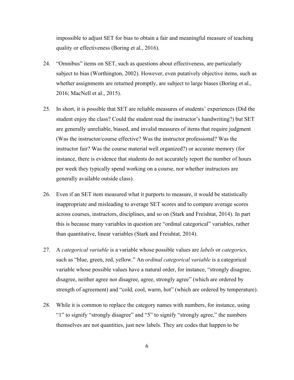impossible to adjust SET for bias to obtain a fair and meaningful measure of teaching quality or effectiveness (Boring et al., 2016).

- 24. "Omnibus" items on SET, such as questions about effectiveness, are particularly subject to bias (Worthington, 2002). However, even putatively objective items, such as whether assignments are returned promptly, are subject to large biases (Boring et al., 2016; MacNell et al., 2015).
- 25. In short, it is possible that SET are reliable measures of students' experiences (Did the student enjoy the class? Could the student read the instructor's handwriting?) but SET are generally unreliable, biased, and invalid measures of items that require judgment (Was the instructor/course effective? Was the instructor professional? Was the instructor fair? Was the course material well organized?) or accurate memory (for instance, there is evidence that students do not accurately report the number of hours per week they typically spend working on a course, nor whether instructors are generally available outside class).
- 26. Even if an SET item measured what it purports to measure, it would be statistically inappropriate and misleading to average SET scores and to compare average scores across courses, instructors, disciplines, and so on (Stark and Freishtat, 2014). In part this is because many variables in question are "ordinal categorical" variables, rather than quantitative, linear variables (Stark and Freishtat, 2014).
- 27. A *categorical variable* is a variable whose possible values are *labels* or *categories*, such as "blue, green, red, yellow." An *ordinal categorical variable* is a categorical variable whose possible values have a natural order, for instance, "strongly disagree, disagree, neither agree nor disagree, agree, strongly agree" (which are ordered by strength of agreement) and "cold, cool, warm, hot" (which are ordered by temperature).
- 28. While it is common to replace the category names with numbers, for instance, using "1" to signify "strongly disagree" and "5" to signify "strongly agree," the numbers themselves are not quantities, just new labels. They are codes that happen to be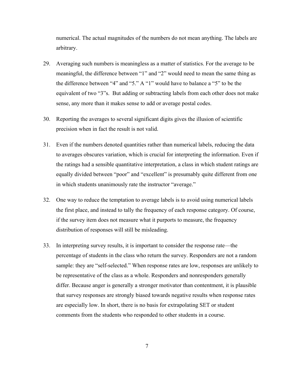numerical. The actual magnitudes of the numbers do not mean anything. The labels are arbitrary.

- 29. Averaging such numbers is meaningless as a matter of statistics. For the average to be meaningful, the difference between "1" and "2" would need to mean the same thing as the difference between "4" and "5." A "1" would have to balance a "5" to be the equivalent of two "3"s. But adding or subtracting labels from each other does not make sense, any more than it makes sense to add or average postal codes.
- 30. Reporting the averages to several significant digits gives the illusion of scientific precision when in fact the result is not valid.
- 31. Even if the numbers denoted quantities rather than numerical labels, reducing the data to averages obscures variation, which is crucial for interpreting the information. Even if the ratings had a sensible quantitative interpretation, a class in which student ratings are equally divided between "poor" and "excellent" is presumably quite different from one in which students unanimously rate the instructor "average."
- 32. One way to reduce the temptation to average labels is to avoid using numerical labels the first place, and instead to tally the frequency of each response category. Of course, if the survey item does not measure what it purports to measure, the frequency distribution of responses will still be misleading.
- 33. In interpreting survey results, it is important to consider the response rate—the percentage of students in the class who return the survey. Responders are not a random sample: they are "self-selected." When response rates are low, responses are unlikely to be representative of the class as a whole. Responders and nonresponders generally differ. Because anger is generally a stronger motivator than contentment, it is plausible that survey responses are strongly biased towards negative results when response rates are especially low. In short, there is no basis for extrapolating SET or student comments from the students who responded to other students in a course.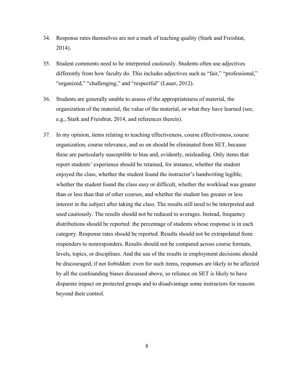- 34. Response rates themselves are not a mark of teaching quality (Stark and Freishtat, 2014).
- 35. Student comments need to be interpreted cautiously. Students often use adjectives differently from how faculty do. This includes adjectives such as "fair," "professional," "organized," "challenging," and "respectful" (Lauer, 2012).
- 36. Students are generally unable to assess of the appropriateness of material, the organization of the material, the value of the material, or what they have learned (see, e.g., Stark and Freishtat, 2014, and references therein).
- 37. In my opinion, items relating to teaching effectiveness, course effectiveness, course organization, course relevance, and so on should be eliminated from SET, because these are particularly susceptible to bias and, evidently, misleading. Only items that report students' experience should be retained, for instance, whether the student enjoyed the class, whether the student found the instructor's handwriting legible, whether the student found the class easy or difficult, whether the workload was greater than or less than that of other courses, and whether the student has greater or less interest in the subject after taking the class. The results still need to be interpreted and used cautiously. The results should not be reduced to averages. Instead, frequency distributions should be reported: the percentage of students whose response is in each category. Response rates should be reported. Results should not be extrapolated from responders to nonresponders. Results should not be compared across course formats, levels, topics, or disciplines. And the use of the results in employment decisions should be discouraged, if not forbidden: even for such items, responses are likely to be affected by all the confounding biases discussed above, so reliance on SET is likely to have disparate impact on protected groups and to disadvantage some instructors for reasons beyond their control.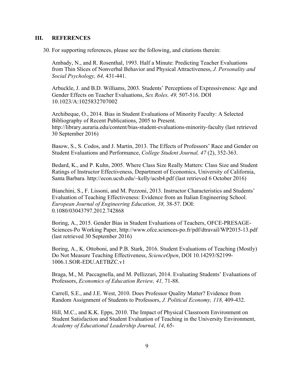## **III. REFERENCES**

30. For supporting references, please see the following, and citations therein:

Ambady, N., and R. Rosenthal, 1993. Half a Minute: Predicting Teacher Evaluations from Thin Slices of Nonverbal Behavior and Physical Attractiveness, *J. Personality and Social Psychology, 64,* 431-441.

Arbuckle, J. and B.D. Williams, 2003. Students' Perceptions of Expressiveness: Age and Gender Effects on Teacher Evaluations, *Sex Roles, 49,* 507-516. DOI 10.1023/A:1025832707002

Archibeque, O., 2014. Bias in Student Evaluations of Minority Faculty: A Selected Bibliography of Recent Publications, 2005 to Present. http://library.auraria.edu/content/bias-student-evaluations-minority-faculty (last retrieved 30 September 2016)

Basow, S., S. Codos, and J. Martin, 2013. The Effects of Professors' Race and Gender on Student Evaluations and Performance, *College Student Journal, 47* (2), 352-363.

Bedard, K., and P. Kuhn, 2005. Where Class Size Really Matters: Class Size and Student Ratings of Instructor Effectiveness, Department of Economics, University of California, Santa Barbara. http://econ.ucsb.edu/~kelly/ucsb4.pdf (last retrieved 6 October 2016)

Bianchini, S., F. Lissoni, and M. Pezzoni, 2013. Instructor Characteristics and Students' Evaluation of Teaching Effectiveness: Evidence from an Italian Engineering School. *European Journal of Engineering Education, 38,* 38-57. DOI: 0.1080/03043797.2012.742868

Boring, A., 2015. Gender Bias in Student Evaluations of Teachers, OFCE-PRESAGE-Sciences-Po Working Paper, http://www.ofce.sciences-po.fr/pdf/dtravail/WP2015-13.pdf (last retrieved 30 September 2016)

Boring, A., K. Ottoboni, and P.B. Stark, 2016. Student Evaluations of Teaching (Mostly) Do Not Measure Teaching Effectiveness, *ScienceOpen*, DOI 10.14293/S2199- 1006.1.SOR-EDU.AETBZC.v1

Braga, M., M. Paccagnella, and M. Pellizzari, 2014. Evaluating Students' Evaluations of Professors, *Economics of Education Review, 41,* 71-88.

Carrell, S.E., and J.E. West, 2010. Does Professor Quality Matter? Evidence from Random Assignment of Students to Professors, *J. Political Economy, 118,* 409-432.

Hill, M.C., and K.K. Epps, 2010. The Impact of Physical Classroom Environment on Student Satisfaction and Student Evaluation of Teaching in the University Environment, *Academy of Educational Leadership Journal, 14*, 65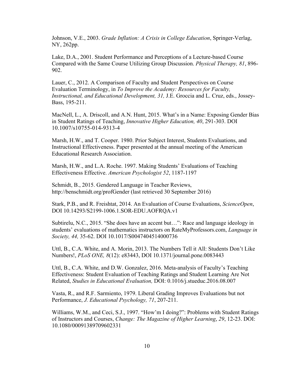Johnson, V.E., 2003. *Grade Inflation: A Crisis in College Education*, Springer-Verlag, NY, 262pp.

Lake, D.A., 2001. Student Performance and Perceptions of a Lecture-based Course Compared with the Same Course Utilizing Group Discussion. *Physical Therapy, 81*, 896- 902.

Lauer, C., 2012. A Comparison of Faculty and Student Perspectives on Course Evaluation Terminology, in *To Improve the Academy: Resources for Faculty, Instructional, and Educational Development, 31,* J.E. Groccia and L. Cruz, eds., Jossey-Bass, 195-211.

MacNell, L., A. Driscoll, and A.N. Hunt, 2015. What's in a Name: Exposing Gender Bias in Student Ratings of Teaching, *Innovative Higher Education, 40*, 291-303. DOI 10.1007/s10755-014-9313-4

Marsh, H.W., and T. Cooper. 1980. Prior Subject Interest, Students Evaluations, and Instructional Effectiveness. Paper presented at the annual meeting of the American Educational Research Association.

Marsh, H.W., and L.A. Roche. 1997. Making Students' Evaluations of Teaching Effectiveness Effective. *American Psychologist 52*, 1187-1197

Schmidt, B., 2015. Gendered Language in Teacher Reviews, http://benschmidt.org/profGender (last retrieved 30 September 2016)

Stark, P.B., and R. Freishtat, 2014. An Evaluation of Course Evaluations, *ScienceOpen*, DOI 10.14293/S2199-1006.1.SOR-EDU.AOFRQA.v1

Subtirelu, N.C., 2015. "She does have an accent but…": Race and language ideology in students' evaluations of mathematics instructors on RateMyProfessors.com, *Language in Society, 44,* 35-62. DOI 10.1017/S0047404514000736

Uttl, B., C.A. White, and A. Morin, 2013. The Numbers Tell it All: Students Don't Like Numbers!, *PLoS ONE, 8*(12): e83443, DOI 10.1371/journal.pone.0083443

Uttl, B., C.A. White, and D.W. Gonzalez, 2016. Meta-analysis of Faculty's Teaching Effectiveness: Student Evaluation of Teaching Ratings and Student Learning Are Not Related, *Studies in Educational Evaluation,* DOI: 0.1016/j.stueduc.2016.08.007

Vasta, R., and R.F. Sarmiento, 1979. Liberal Grading Improves Evaluations but not Performance, *J. Educational Psychology, 71*, 207-211.

Williams, W.M., and Ceci, S.J., 1997. "How'm I doing?": Problems with Student Ratings of Instructors and Courses, *Change: The Magazine of Higher Learning*, *29*, 12-23. DOI: 10.1080/00091389709602331